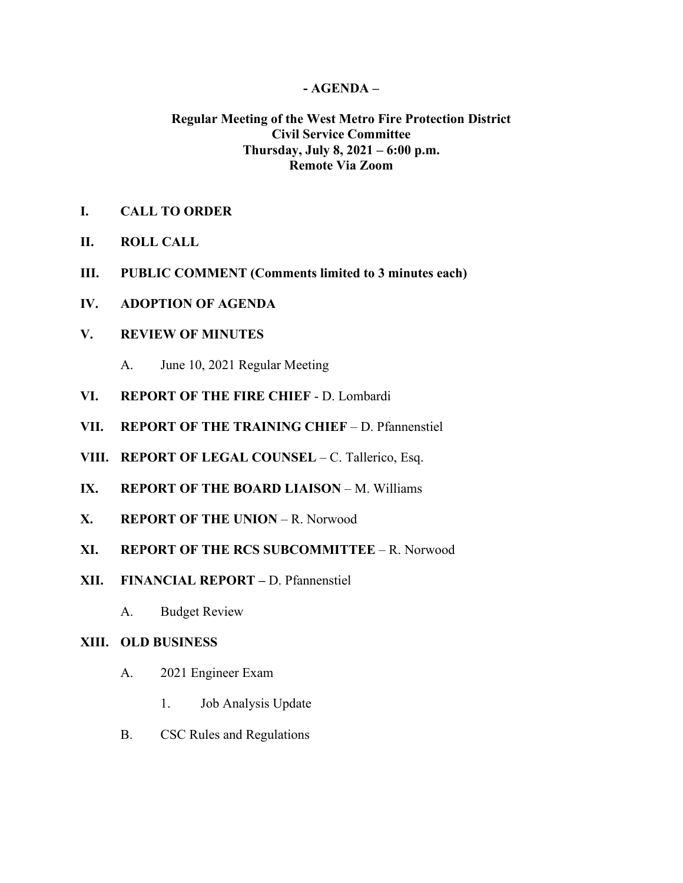### **- AGENDA –**

# **Regular Meeting of the West Metro Fire Protection District Civil Service Committee Thursday, July 8, 2021 – 6:00 p.m. Remote Via Zoom**

- **I. CALL TO ORDER**
- **II. ROLL CALL**
- **III. PUBLIC COMMENT (Comments limited to 3 minutes each)**
- **IV. ADOPTION OF AGENDA**

## **V. REVIEW OF MINUTES**

- A. June 10, 2021 Regular Meeting
- **VI. REPORT OF THE FIRE CHIEF**  D. Lombardi
- **VII. REPORT OF THE TRAINING CHIEF** D. Pfannenstiel
- **VIII. REPORT OF LEGAL COUNSEL** C. Tallerico, Esq.
- **IX. REPORT OF THE BOARD LIAISON** M. Williams
- **X. REPORT OF THE UNION** R. Norwood
- **XI. REPORT OF THE RCS SUBCOMMITTEE** R. Norwood
- **XII. FINANCIAL REPORT –** D. Pfannenstiel
	- A. Budget Review

#### **XIII. OLD BUSINESS**

- A. 2021 Engineer Exam
	- 1. Job Analysis Update
- B. CSC Rules and Regulations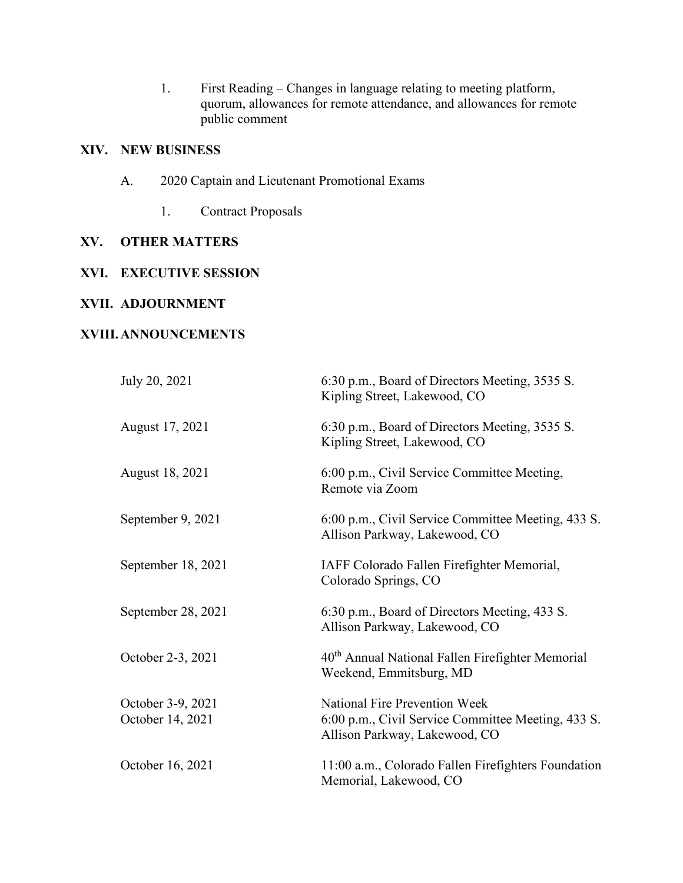1. First Reading – Changes in language relating to meeting platform, quorum, allowances for remote attendance, and allowances for remote public comment

# **XIV. NEW BUSINESS**

- A. 2020 Captain and Lieutenant Promotional Exams
	- 1. Contract Proposals

## **XV. OTHER MATTERS**

## **XVI. EXECUTIVE SESSION**

## **XVII. ADJOURNMENT**

## **XVIII.ANNOUNCEMENTS**

| July 20, 2021                         | 6:30 p.m., Board of Directors Meeting, 3535 S.<br>Kipling Street, Lakewood, CO                                              |
|---------------------------------------|-----------------------------------------------------------------------------------------------------------------------------|
| August 17, 2021                       | 6:30 p.m., Board of Directors Meeting, 3535 S.<br>Kipling Street, Lakewood, CO                                              |
| August 18, 2021                       | 6:00 p.m., Civil Service Committee Meeting,<br>Remote via Zoom                                                              |
| September 9, 2021                     | 6:00 p.m., Civil Service Committee Meeting, 433 S.<br>Allison Parkway, Lakewood, CO                                         |
| September 18, 2021                    | IAFF Colorado Fallen Firefighter Memorial,<br>Colorado Springs, CO                                                          |
| September 28, 2021                    | 6:30 p.m., Board of Directors Meeting, 433 S.<br>Allison Parkway, Lakewood, CO                                              |
| October 2-3, 2021                     | 40 <sup>th</sup> Annual National Fallen Firefighter Memorial<br>Weekend, Emmitsburg, MD                                     |
| October 3-9, 2021<br>October 14, 2021 | <b>National Fire Prevention Week</b><br>6:00 p.m., Civil Service Committee Meeting, 433 S.<br>Allison Parkway, Lakewood, CO |
| October 16, 2021                      | 11:00 a.m., Colorado Fallen Firefighters Foundation<br>Memorial, Lakewood, CO                                               |